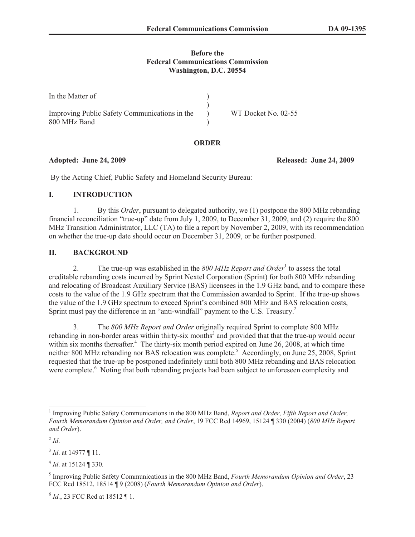#### **Before the Federal Communications Commission Washington, D.C. 20554**

| In the Matter of                              |                     |
|-----------------------------------------------|---------------------|
|                                               |                     |
| Improving Public Safety Communications in the | WT Docket No. 02-55 |
| 800 MHz Band                                  |                     |

#### **ORDER**

By the Acting Chief, Public Safety and Homeland Security Bureau:

## **I. INTRODUCTION**

1. By this *Order*, pursuant to delegated authority, we (1) postpone the 800 MHz rebanding financial reconciliation "true-up" date from July 1, 2009, to December 31, 2009, and (2) require the 800 MHz Transition Administrator, LLC (TA) to file a report by November 2, 2009, with its recommendation on whether the true-up date should occur on December 31, 2009, or be further postponed.

## **II. BACKGROUND**

2. The true-up was established in the 800 MHz Report and Order<sup>1</sup> to assess the total creditable rebanding costs incurred by Sprint Nextel Corporation (Sprint) for both 800 MHz rebanding and relocating of Broadcast Auxiliary Service (BAS) licensees in the 1.9 GHz band, and to compare these costs to the value of the 1.9 GHz spectrum that the Commission awarded to Sprint. If the true-up shows the value of the 1.9 GHz spectrum to exceed Sprint's combined 800 MHz and BAS relocation costs, Sprint must pay the difference in an "anti-windfall" payment to the U.S. Treasury.<sup>2</sup>

3. The *800 MHz Report and Order* originally required Sprint to complete 800 MHz rebanding in non-border areas within thirty-six months<sup>3</sup> and provided that that the true-up would occur within six months thereafter.<sup>4</sup> The thirty-six month period expired on June 26, 2008, at which time neither 800 MHz rebanding nor BAS relocation was complete.<sup>5</sup> Accordingly, on June 25, 2008, Sprint requested that the true-up be postponed indefinitely until both 800 MHz rebanding and BAS relocation were complete.<sup>6</sup> Noting that both rebanding projects had been subject to unforeseen complexity and

**Adopted: June 24, 2009 Released: June 24, 2009**

<sup>&</sup>lt;sup>1</sup> Improving Public Safety Communications in the 800 MHz Band, *Report and Order, Fifth Report and Order, Fourth Memorandum Opinion and Order, and Order*, 19 FCC Rcd 14969, 15124 ¶ 330 (2004) (*800 MHz Report and Order*).

 $^{2}$ *Id*.

<sup>3</sup> *Id*. at 14977 ¶ 11.

<sup>4</sup> *Id*. at 15124 ¶ 330.

<sup>5</sup> Improving Public Safety Communications in the 800 MHz Band, *Fourth Memorandum Opinion and Order*, 23 FCC Rcd 18512, 18514 ¶ 9 (2008) (*Fourth Memorandum Opinion and Order*).

<sup>6</sup> *Id.*, 23 FCC Rcd at 18512 ¶ 1.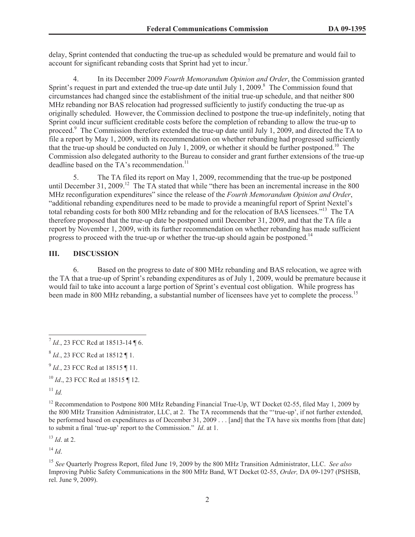delay, Sprint contended that conducting the true-up as scheduled would be premature and would fail to account for significant rebanding costs that Sprint had yet to incur.<sup>7</sup>

4. In its December 2009 *Fourth Memorandum Opinion and Order*, the Commission granted Sprint's request in part and extended the true-up date until July 1, 2009.<sup>8</sup> The Commission found that circumstances had changed since the establishment of the initial true-up schedule, and that neither 800 MHz rebanding nor BAS relocation had progressed sufficiently to justify conducting the true-up as originally scheduled. However, the Commission declined to postpone the true-up indefinitely, noting that Sprint could incur sufficient creditable costs before the completion of rebanding to allow the true-up to proceed.<sup>9</sup> The Commission therefore extended the true-up date until July 1, 2009, and directed the TA to file a report by May 1, 2009, with its recommendation on whether rebanding had progressed sufficiently that the true-up should be conducted on July 1, 2009, or whether it should be further postponed.<sup>10</sup> The Commission also delegated authority to the Bureau to consider and grant further extensions of the true-up deadline based on the TA's recommendation.<sup>11</sup>

5. The TA filed its report on May 1, 2009, recommending that the true-up be postponed until December 31, 2009.<sup>12</sup> The TA stated that while "there has been an incremental increase in the 800 MHz reconfiguration expenditures" since the release of the *Fourth Memorandum Opinion and Order*, "additional rebanding expenditures need to be made to provide a meaningful report of Sprint Nextel's total rebanding costs for both 800 MHz rebanding and for the relocation of BAS licensees."<sup>13</sup> The TA therefore proposed that the true-up date be postponed until December 31, 2009, and that the TA file a report by November 1, 2009, with its further recommendation on whether rebanding has made sufficient progress to proceed with the true-up or whether the true-up should again be postponed.<sup>14</sup>

## **III. DISCUSSION**

6. Based on the progress to date of 800 MHz rebanding and BAS relocation, we agree with the TA that a true-up of Sprint's rebanding expenditures as of July 1, 2009, would be premature because it would fail to take into account a large portion of Sprint's eventual cost obligation. While progress has been made in 800 MHz rebanding, a substantial number of licensees have yet to complete the process.<sup>15</sup>

 $^{11}$  *Id.* 

<sup>13</sup> *Id*. at 2.

 $^{14}$  *Id.* 

<sup>&</sup>lt;sup>7</sup> Id., 23 FCC Rcd at 18513-14 ¶ 6.

<sup>8</sup> *Id.*, 23 FCC Rcd at 18512 ¶ 1.

<sup>&</sup>lt;sup>9</sup> *Id.*, 23 FCC Rcd at 18515 ¶ 11.

<sup>10</sup> *Id*., 23 FCC Rcd at 18515 ¶ 12.

<sup>&</sup>lt;sup>12</sup> Recommendation to Postpone 800 MHz Rebanding Financial True-Up, WT Docket 02-55, filed May 1, 2009 by the 800 MHz Transition Administrator, LLC, at 2. The TA recommends that the "'true-up', if not further extended, be performed based on expenditures as of December 31, 2009 . . . [and] that the TA have six months from [that date] to submit a final 'true-up' report to the Commission." *Id*. at 1.

<sup>15</sup> *See* Quarterly Progress Report, filed June 19, 2009 by the 800 MHz Transition Administrator, LLC. *See also*  Improving Public Safety Communications in the 800 MHz Band, WT Docket 02-55, *Order,* DA 09-1297 (PSHSB, rel. June 9, 2009).